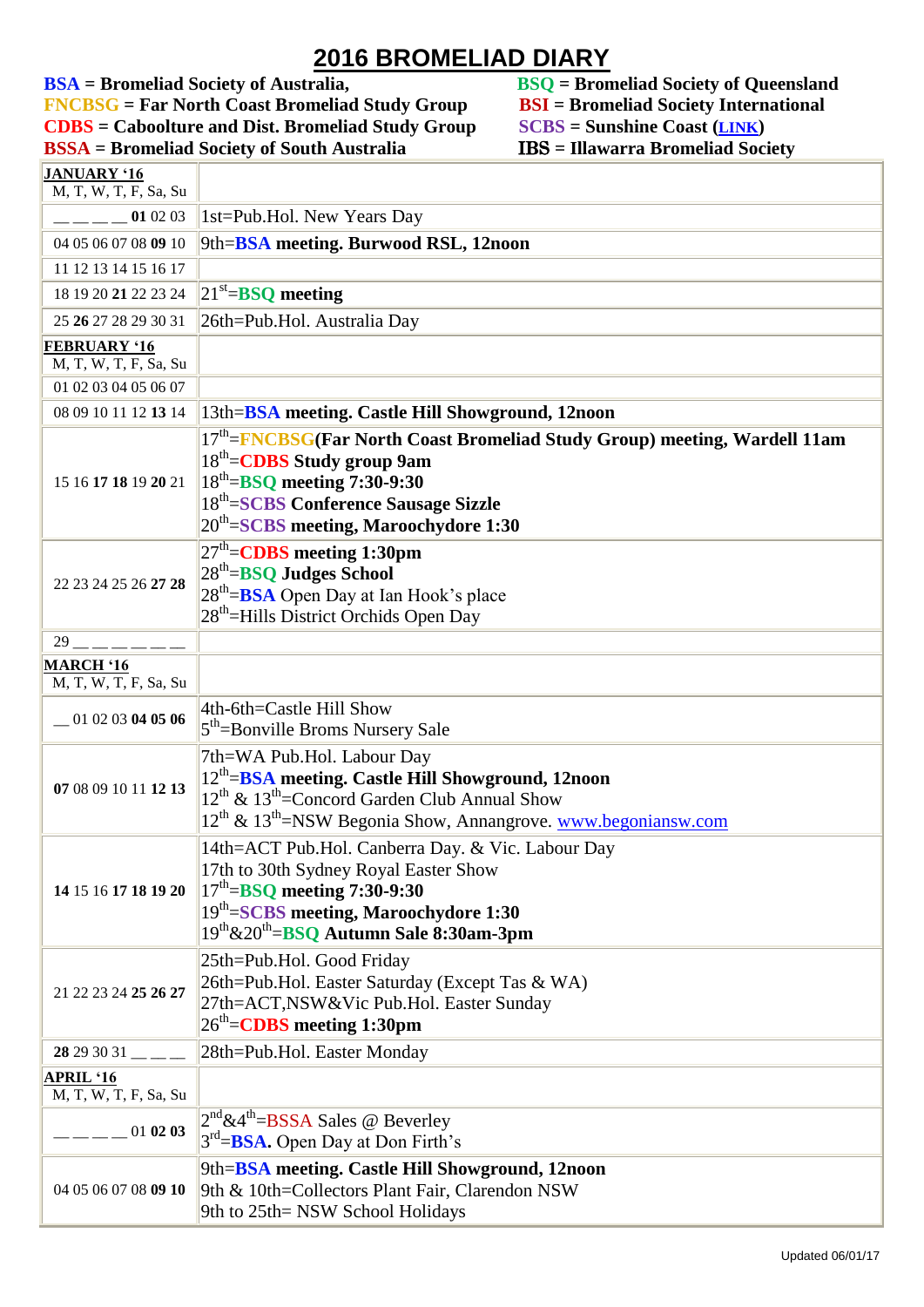**2016 BROMELIAD DIARY**<br>BSA = Bromeliad Society of Australia, BSQ = Bron **FNCBSG** = Far North Coast Bromeliad Study Group **BSI** = Bromeliad Society Intern<br> **CDBS** = Caboolture and Dist. Bromeliad Study Group **SCBS** = Sunshine Coast (LINK) **CDBS** = Caboolture and Dist. Bromeliad Study Group SCBS = Sunshine Coast (*[LINK](http://scbs.org.au/?page_id=34)*)<br>BSSA = Bromeliad Society of South Australia IBS = Illawarra Bromeliad Society **BSSA** = Bromeliad Society of South Australia **JANUARY '16**

**BSQ** = **Bromeliad Society of Queensland**<br>**BSI** = Bromeliad Society International

| M, T, W, T, F, Sa, Su                         |                                                                                                                                                                                                                                                                |
|-----------------------------------------------|----------------------------------------------------------------------------------------------------------------------------------------------------------------------------------------------------------------------------------------------------------------|
| 01 02 03                                      | 1st=Pub.Hol. New Years Day                                                                                                                                                                                                                                     |
| 04 05 06 07 08 09 10                          | 9th= <b>BSA</b> meeting. Burwood RSL, 12noon                                                                                                                                                                                                                   |
| 11 12 13 14 15 16 17                          |                                                                                                                                                                                                                                                                |
| 18 19 20 21 22 23 24                          | $ 21^{st}$ =BSQ meeting                                                                                                                                                                                                                                        |
| 25 26 27 28 29 30 31                          | 26th=Pub.Hol. Australia Day                                                                                                                                                                                                                                    |
| <b>FEBRUARY '16</b>                           |                                                                                                                                                                                                                                                                |
| M, T, W, T, F, Sa, Su<br>01 02 03 04 05 06 07 |                                                                                                                                                                                                                                                                |
| 08 09 10 11 12 13 14                          | 13th= <b>BSA</b> meeting. Castle Hill Showground, 12noon                                                                                                                                                                                                       |
| 15 16 17 18 19 20 21                          | 17 <sup>th</sup> =FNCBSG(Far North Coast Bromeliad Study Group) meeting, Wardell 11am<br>$18th=CDBS$ Study group 9am<br>$ 18^{\text{th}}=$ BSQ meeting 7:30-9:30<br>18 <sup>th</sup> =SCBS Conference Sausage Sizzle<br>$20th=SCBS$ meeting, Maroochydore 1:30 |
| 22 23 24 25 26 27 28                          | $27th=CDBS$ meeting 1:30pm<br>$28th=$ BSQ Judges School<br>$28th=$ <b>BSA</b> Open Day at Ian Hook's place<br>28 <sup>th</sup> =Hills District Orchids Open Day                                                                                                |
| 29                                            |                                                                                                                                                                                                                                                                |
| <b>MARCH '16</b><br>M, T, W, T, F, Sa, Su     |                                                                                                                                                                                                                                                                |
| 01 02 03 04 05 06                             | 4th-6th=Castle Hill Show<br>5 <sup>th</sup> =Bonville Broms Nursery Sale                                                                                                                                                                                       |
| 07 08 09 10 11 12 13                          | 7th=WA Pub.Hol. Labour Day<br>12 <sup>th</sup> =BSA meeting. Castle Hill Showground, 12noon<br>12 <sup>th</sup> & 13 <sup>th</sup> =Concord Garden Club Annual Show<br>12 <sup>th</sup> & 13 <sup>th</sup> =NSW Begonia Show, Annangrove. www.begoniansw.com   |
| 14 15 16 17 18 19 20                          | 14th=ACT Pub.Hol. Canberra Day. & Vic. Labour Day<br>17th to 30th Sydney Royal Easter Show<br>$\parallel$ 17 <sup>th</sup> =BSQ meeting 7:30-9:30<br>19th=SCBS meeting, Maroochydore 1:30<br>19th&20th=BSQ Autumn Sale 8:30am-3pm                              |
| 21 22 23 24 25 26 27                          | 25th=Pub.Hol. Good Friday<br>26th=Pub.Hol. Easter Saturday (Except Tas & WA)<br>27th=ACT,NSW&Vic Pub.Hol. Easter Sunday<br>26 <sup>th</sup> = <b>CDBS</b> meeting 1:30pm                                                                                       |
| $28293031$ — — —                              | 28th=Pub.Hol. Easter Monday                                                                                                                                                                                                                                    |
| APRIL '16<br>M, T, W, T, F, Sa, Su            |                                                                                                                                                                                                                                                                |
| 010203                                        | $2^{nd}$ &4 <sup>th</sup> =BSSA Sales @ Beverley<br>$3rd=BSA.$ Open Day at Don Firth's                                                                                                                                                                         |
| 04 05 06 07 08 09 10                          | 9th=BSA meeting. Castle Hill Showground, 12noon<br>9th & 10th=Collectors Plant Fair, Clarendon NSW<br>9th to 25th= NSW School Holidays                                                                                                                         |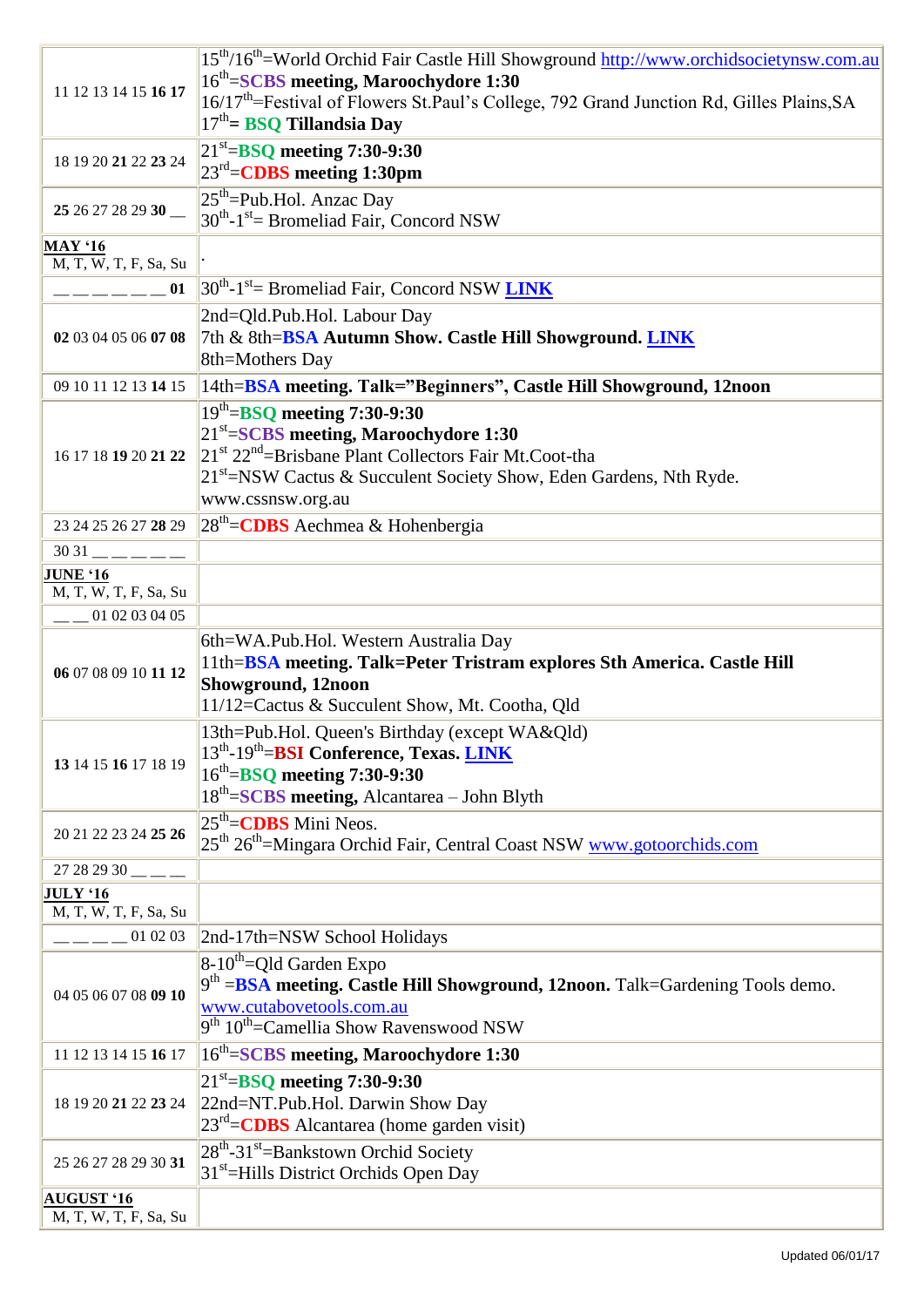|                                     | 15 <sup>th</sup> /16 <sup>th</sup> =World Orchid Fair Castle Hill Showground http://www.orchidsocietynsw.com.au |
|-------------------------------------|-----------------------------------------------------------------------------------------------------------------|
|                                     | 16 <sup>th</sup> =SCBS meeting, Maroochydore 1:30                                                               |
| 11 12 13 14 15 16 17                | 16/17 <sup>th</sup> =Festival of Flowers St.Paul's College, 792 Grand Junction Rd, Gilles Plains, SA            |
|                                     | $17th$ BSQ Tillandsia Day                                                                                       |
|                                     | $21^{st}$ =BSQ meeting 7:30-9:30                                                                                |
| 18 19 20 21 22 23 24                | $23^{\text{rd}}$ = CDBS meeting 1:30pm                                                                          |
|                                     |                                                                                                                 |
| 25 26 27 28 29 30                   | $25th$ =Pub.Hol. Anzac Day                                                                                      |
|                                     | $30^{th}$ -1 <sup>st</sup> = Bromeliad Fair, Concord NSW                                                        |
| <b>MAY '16</b>                      |                                                                                                                 |
| M, T, W, T, F, Sa, Su               |                                                                                                                 |
| $--- 01$                            | $30^{th}$ -1 <sup>st</sup> = Bromeliad Fair, Concord NSW <b>LINK</b>                                            |
|                                     | 2nd=Qld.Pub.Hol. Labour Day                                                                                     |
| 02 03 04 05 06 07 08                | 7th & 8th=BSA Autumn Show. Castle Hill Showground. LINK                                                         |
|                                     | 8th=Mothers Day                                                                                                 |
| 09 10 11 12 13 14 15                | 14th=BSA meeting. Talk="Beginners", Castle Hill Showground, 12noon                                              |
|                                     |                                                                                                                 |
|                                     | $19th=$ BSQ meeting 7:30-9:30                                                                                   |
|                                     | 21 <sup>st</sup> =SCBS meeting, Maroochydore 1:30                                                               |
| 16 17 18 19 20 21 22                | $21st 22nd$ =Brisbane Plant Collectors Fair Mt.Coot-tha                                                         |
|                                     | 21 <sup>st</sup> =NSW Cactus & Succulent Society Show, Eden Gardens, Nth Ryde.                                  |
|                                     | www.cssnsw.org.au                                                                                               |
| 23 24 25 26 27 28 29                | $28th$ = CDBS Aechmea & Hohenbergia                                                                             |
| $3031$ — — — — —                    |                                                                                                                 |
| <b>JUNE '16</b>                     |                                                                                                                 |
| M, T, W, T, F, Sa, Su               |                                                                                                                 |
| $-$ 01 02 03 04 05                  |                                                                                                                 |
|                                     | 6th=WA.Pub.Hol. Western Australia Day                                                                           |
|                                     | 11th=BSA meeting. Talk=Peter Tristram explores Sth America. Castle Hill                                         |
| 06 07 08 09 10 11 12                | Showground, 12noon                                                                                              |
|                                     | 11/12=Cactus & Succulent Show, Mt. Cootha, Qld                                                                  |
|                                     |                                                                                                                 |
|                                     | 13th=Pub.Hol. Queen's Birthday (except WA&Qld)                                                                  |
| 13 14 15 16 17 18 19                | 13 <sup>th</sup> -19 <sup>th</sup> =BSI Conference, Texas. <b>LINK</b>                                          |
|                                     | $16^{\text{th}} = BSQ$ meeting 7:30-9:30                                                                        |
|                                     | 18 <sup>th</sup> =SCBS meeting, Alcantarea – John Blyth                                                         |
| 20 21 22 23 24 25 26                | $25th=CDBS$ Mini Neos.                                                                                          |
|                                     | 25 <sup>th</sup> 26 <sup>th</sup> =Mingara Orchid Fair, Central Coast NSW www.gotoorchids.com                   |
| $27282930$ = = =                    |                                                                                                                 |
| <b>JULY</b> '16                     |                                                                                                                 |
| $\overline{M}$ , T, W, T, F, Sa, Su |                                                                                                                 |
| 010203                              | 2nd-17th=NSW School Holidays                                                                                    |
|                                     | $8-10^{th}$ =Qld Garden Expo                                                                                    |
|                                     | $9th = BSA$ meeting. Castle Hill Showground, 12noon. Talk=Gardening Tools demo.                                 |
| 04 05 06 07 08 09 10                | www.cutabovetools.com.au                                                                                        |
|                                     | $9th 10th$ = Camellia Show Ravenswood NSW                                                                       |
|                                     |                                                                                                                 |
| 11 12 13 14 15 16 17                | 16 <sup>th</sup> =SCBS meeting, Maroochydore 1:30                                                               |
|                                     | $21^{st}$ =BSQ meeting 7:30-9:30                                                                                |
| 18 19 20 21 22 23 24                | 22nd=NT.Pub.Hol. Darwin Show Day                                                                                |
|                                     | $23^{rd}$ = CDBS Alcantarea (home garden visit)                                                                 |
|                                     | $28^{th}$ -31 <sup>st</sup> =Bankstown Orchid Society                                                           |
| 25 26 27 28 29 30 31                | 31 <sup>st</sup> =Hills District Orchids Open Day                                                               |
| <b>AUGUST '16</b>                   |                                                                                                                 |
| M, T, W, T, F, Sa, Su               |                                                                                                                 |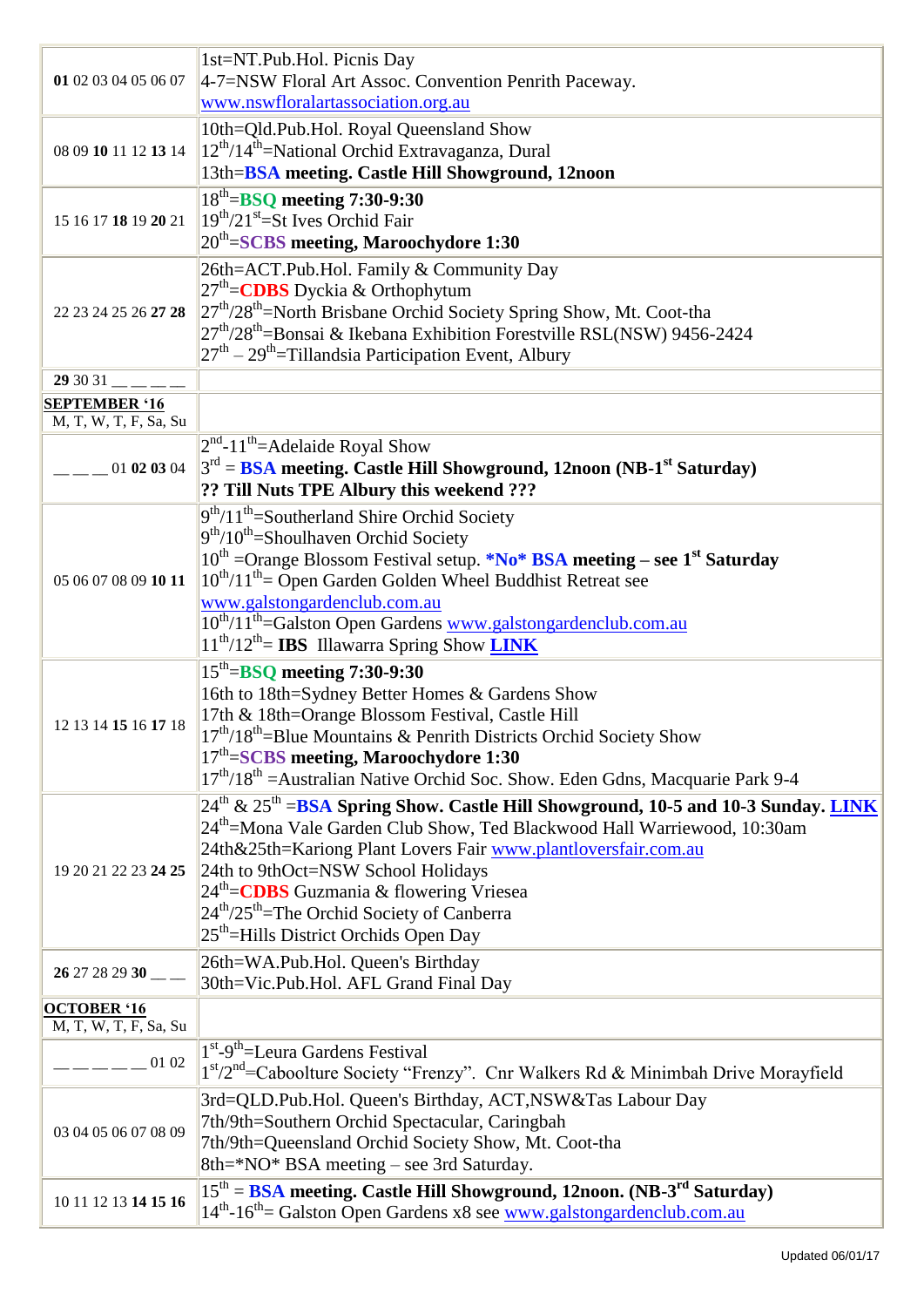| 01 02 03 04 05 06 07                          | 1st=NT.Pub.Hol. Picnis Day<br>4-7=NSW Floral Art Assoc. Convention Penrith Paceway.<br>www.nswfloralartassociation.org.au                                                                                                                                                                                                                                                                                                                                                      |
|-----------------------------------------------|--------------------------------------------------------------------------------------------------------------------------------------------------------------------------------------------------------------------------------------------------------------------------------------------------------------------------------------------------------------------------------------------------------------------------------------------------------------------------------|
| 08 09 10 11 12 13 14                          | 10th=Qld.Pub.Hol. Royal Queensland Show<br>12 <sup>th</sup> /14 <sup>th</sup> =National Orchid Extravaganza, Dural<br>13th=BSA meeting. Castle Hill Showground, 12noon                                                                                                                                                                                                                                                                                                         |
| 15 16 17 18 19 20 21                          | $18th=$ BSQ meeting 7:30-9:30<br>$19th/21st=St Ives Orchid Fair$<br>20 <sup>th</sup> =SCBS meeting, Maroochydore 1:30                                                                                                                                                                                                                                                                                                                                                          |
| 22 23 24 25 26 27 28                          | 26th=ACT.Pub.Hol. Family & Community Day<br>$27th$ = CDBS Dyckia & Orthophytum<br>$27^{\text{th}}$ /28 <sup>th</sup> =North Brisbane Orchid Society Spring Show, Mt. Coot-tha<br>$27th/28th$ =Bonsai & Ikebana Exhibition Forestville RSL(NSW) 9456-2424<br>$27th - 29th$ =Tillandsia Participation Event, Albury                                                                                                                                                              |
| $293031$ <sub>--</sub>                        |                                                                                                                                                                                                                                                                                                                                                                                                                                                                                |
| <b>SEPTEMBER '16</b><br>M, T, W, T, F, Sa, Su |                                                                                                                                                                                                                                                                                                                                                                                                                                                                                |
| 01 02 03 04                                   | $2nd - 11th$ = Adelaide Royal Show<br>$3^{rd}$ = BSA meeting. Castle Hill Showground, 12noon (NB-1 <sup>st</sup> Saturday)<br>?? Till Nuts TPE Albury this weekend ???                                                                                                                                                                                                                                                                                                         |
| 05 06 07 08 09 10 11                          | $9th/11th$ =Southerland Shire Orchid Society<br>$9th/10th$ =Shoulhaven Orchid Society<br>$10^{th}$ =Orange Blossom Festival setup. *No* BSA meeting – see 1 <sup>st</sup> Saturday<br>$10^{th}/11^{th}$ = Open Garden Golden Wheel Buddhist Retreat see<br>www.galstongardenclub.com.au<br>10 <sup>th</sup> /11 <sup>th</sup> =Galston Open Gardens www.galstongardenclub.com.au<br>$11^{th}/12^{th}$ = IBS Illawarra Spring Show LINK                                         |
| 12 13 14 15 16 17 18                          | $15th=$ BSQ meeting 7:30-9:30<br>16th to 18th=Sydney Better Homes & Gardens Show<br>17th & 18th=Orange Blossom Festival, Castle Hill<br>$17th/18th$ =Blue Mountains & Penrith Districts Orchid Society Show<br>$17th=SCBS$ meeting, Maroochydore 1:30<br>17 <sup>th</sup> /18 <sup>th</sup> = Australian Native Orchid Soc. Show. Eden Gdns, Macquarie Park 9-4                                                                                                                |
| 19 20 21 22 23 24 25                          | $24th$ & $25th$ =BSA Spring Show. Castle Hill Showground, 10-5 and 10-3 Sunday. LINK<br>24 <sup>th</sup> =Mona Vale Garden Club Show, Ted Blackwood Hall Warriewood, 10:30am<br>24th&25th=Kariong Plant Lovers Fair www.plantloversfair.com.au<br>24th to 9thOct=NSW School Holidays<br>24 <sup>th</sup> = <b>CDBS</b> Guzmania & flowering Vriesea<br>24 <sup>th</sup> /25 <sup>th</sup> =The Orchid Society of Canberra<br>25 <sup>th</sup> =Hills District Orchids Open Day |
| 26 27 28 29 30                                | 26th=WA.Pub.Hol. Queen's Birthday<br>30th=Vic.Pub.Hol. AFL Grand Final Day                                                                                                                                                                                                                                                                                                                                                                                                     |
| <b>OCTOBER '16</b>                            |                                                                                                                                                                                                                                                                                                                                                                                                                                                                                |
| M, T, W, T, F, Sa, Su                         |                                                                                                                                                                                                                                                                                                                                                                                                                                                                                |
| $  -$ 01 02                                   | 1 <sup>st</sup> -9 <sup>th</sup> =Leura Gardens Festival<br>1st/2 <sup>nd</sup> =Caboolture Society "Frenzy". Cnr Walkers Rd & Minimbah Drive Morayfield                                                                                                                                                                                                                                                                                                                       |
| 03 04 05 06 07 08 09                          | 3rd=QLD.Pub.Hol. Queen's Birthday, ACT,NSW&Tas Labour Day<br>7th/9th=Southern Orchid Spectacular, Caringbah<br>7th/9th=Queensland Orchid Society Show, Mt. Coot-tha<br>8th=*NO* BSA meeting – see 3rd Saturday.                                                                                                                                                                                                                                                                |
| 10 11 12 13 14 15 16                          | $15th$ = BSA meeting. Castle Hill Showground, 12noon. (NB-3 <sup>rd</sup> Saturday)<br>14 <sup>th</sup> -16 <sup>th</sup> = Galston Open Gardens x8 see www.galstongardenclub.com.au                                                                                                                                                                                                                                                                                           |